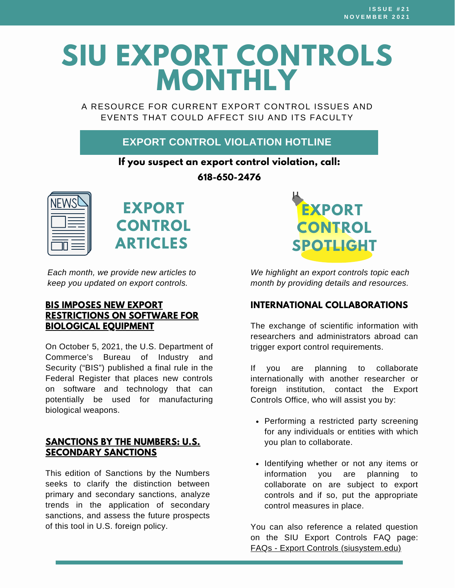# **SIU EXPORT CONTROLS MONTHLY**

A RESOURCE FOR CURRENT EXPORT CONTROL ISSUES AND EVENTS THAT COULD AFFECT SIU AND ITS FACULTY

#### **EXPORT CONTROL VIOLATION HOTLINE**

#### **If you suspect an export control violation, call:**

**618-650-2476**





*Each month, we provide new articles to keep you updated on export controls.*

#### **BIS IMPOSES NEW EXPORT [RESTRICTIONS](https://www.internationaltradeinsights.com/2021/10/bis-imposes-new-export-restrictions-on-software-for-biological-equipment/) ON SOFTWARE FOR BIOLOGICAL EQUIPMENT**

On October 5, 2021, the U.S. Department of Commerce's Bureau of Industry and Security ("BIS") published a final rule in the Federal Register that places new controls on software and technology that can potentially be used for manufacturing biological weapons.

#### **SANCTIONS BY THE NUMBERS: U.S. [SECONDARY](https://www.cnas.org/publications/reports/sanctions-by-the-numbers-u-s-secondary-sanctions?utm_medium=email&utm_campaign=Sanctions%20by%20the%20Numbers%204%20August%2026%202021&utm_content=Sanctions%20by%20the%20Numbers%204%20August%2026%202021+CID_8a37987c9b5b9ae366b9090b27c9d28a&utm_source=Campaign%20Monitor&utm_term=Visit%20cnasorg) SANCTIONS**

This edition of Sanctions by the Numbers seeks to clarify the distinction between primary and secondary sanctions, analyze trends in the application of secondary sanctions, and assess the future prospects of this tool in U.S. foreign policy.



*We highlight an export controls topic each month by providing details and resources.*

#### **INTERNATIONAL COLLABORATIONS**

The exchange of scientific information with researchers and administrators abroad can trigger export control requirements.

If you are planning to collaborate internationally with another researcher or foreign institution, contact the Export Controls Office, who will assist you by:

- Performing a restricted party screening for any individuals or entities with which you plan to collaborate.
- Identifying whether or not any items or information you are planning to collaborate on are subject to export controls and if so, put the appropriate control measures in place.

You can also reference a related question on the SIU Export Controls FAQ page: FAQs - Export Controls [\(siusystem.edu\)](https://siusystem.edu/academic-affairs/export-controls/faqs.shtml#international-collaborations)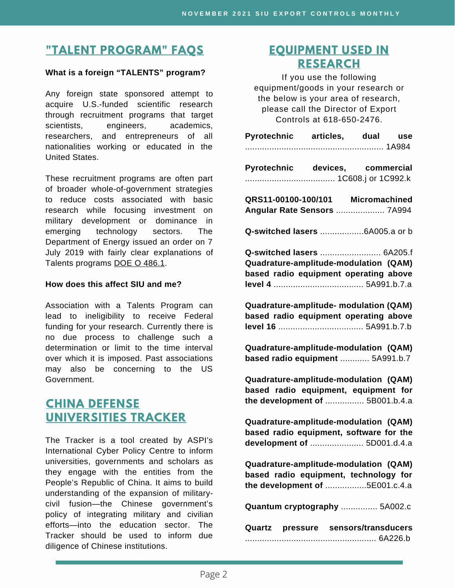# **"TALENT [PROGRAM"](https://siusystem.edu/academic-affairs/export-controls/foreign-talent-programs.shtml) FAQS**

#### **What is a foreign "TALENTS" program?**

Any foreign state sponsored attempt to acquire U.S.-funded scientific research through recruitment programs that target scientists, engineers, academics, researchers, and entrepreneurs of all nationalities working or educated in the United States.

These recruitment programs are often part of broader whole-of-government strategies to reduce costs associated with basic research while focusing investment on military development or dominance in emerging technology sectors. The Department of Energy issued an order on 7 July 2019 with fairly clear explanations of Talents programs DOE O [486.1.](https://www.directives.doe.gov/directives-documents/400-series/0486-1-border/@@images/file)

#### **How does this affect SIU and me?**

Association with a Talents Program can lead to ineligibility to receive Federal funding for your research. Currently there is no due process to challenge such a determination or limit to the time interval over which it is imposed. Past associations may also be concerning to the US Government.

### **CHINA DEFENSE [UNIVERSITIES](https://unitracker.aspi.org.au/) TRACKER**

The Tracker is a tool created by ASPI's International Cyber Policy Centre to inform universities, governments and scholars as they engage with the entities from the People's Republic of China. It aims to build understanding of the expansion of militarycivil fusion—the Chinese government's policy of integrating military and civilian efforts—into the education sector. The Tracker should be used to inform due diligence of Chinese institutions.

#### **[EQUIPMENT](https://www.bis.doc.gov/index.php/documents/regulations-docs/2329-commerce-control-list-index-3/file) USED IN RESEARCH**

If you use the following equipment/goods in your research or the below is your area of research, please call the Director of Export Controls at 618-650-2476.

| Pyrotechnic articles, dual use                                                                                   |  |  |  |
|------------------------------------------------------------------------------------------------------------------|--|--|--|
|                                                                                                                  |  |  |  |
| Pyrotechnic devices, commercial                                                                                  |  |  |  |
| QRS11-00100-100/101 Micromachined<br>Angular Rate Sensors  7A994                                                 |  |  |  |
|                                                                                                                  |  |  |  |
| Q-switched lasers  6A205.f<br>Quadrature-amplitude-modulation (QAM)<br>based radio equipment operating above     |  |  |  |
| Quadrature-amplitude- modulation (QAM)<br>based radio equipment operating above                                  |  |  |  |
| Quadrature-amplitude-modulation (QAM)<br>based radio equipment  5A991.b.7                                        |  |  |  |
| Quadrature-amplitude-modulation (QAM)<br>based radio equipment, equipment for<br>the development of  5B001.b.4.a |  |  |  |
| Quadrature-amplitude-modulation (QAM)<br>based radio equipment, software for the<br>development of  5D001.d.4.a  |  |  |  |
| Quadrature-amplitude-modulation (QAM)<br>based radio equipment, technology for<br>the development of 5E001.c.4.a |  |  |  |
| Quantum cryptography  5A002.c                                                                                    |  |  |  |
| Quartz pressure sensors/transducers                                                                              |  |  |  |